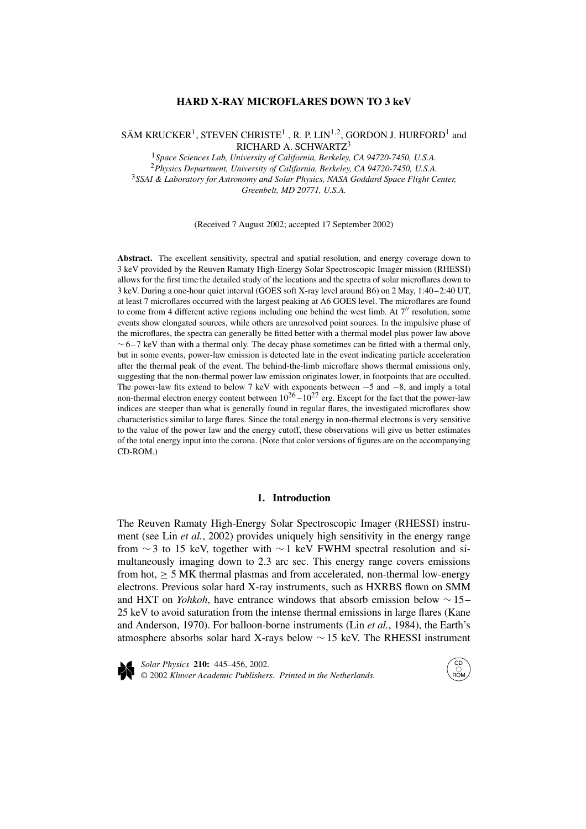# **HARD X-RAY MICROFLARES DOWN TO 3 keV**

SÄM KRUCKER<sup>1</sup>, STEVEN CHRISTE<sup>1</sup>, R. P. LIN<sup>1,2</sup>, GORDON J. HURFORD<sup>1</sup> and RICHARD A. SCHWARTZ<sup>3</sup>

*Space Sciences Lab, University of California, Berkeley, CA 94720-7450, U.S.A. Physics Department, University of California, Berkeley, CA 94720-7450, U.S.A. SSAI & Laboratory for Astronomy and Solar Physics, NASA Goddard Space Flight Center, Greenbelt, MD 20771, U.S.A.*

(Received 7 August 2002; accepted 17 September 2002)

**Abstract.** The excellent sensitivity, spectral and spatial resolution, and energy coverage down to 3 keV provided by the Reuven Ramaty High-Energy Solar Spectroscopic Imager mission (RHESSI) allows for the first time the detailed study of the locations and the spectra of solar microflares down to 3 keV. During a one-hour quiet interval (GOES soft X-ray level around B6) on 2 May, 1:40–2:40 UT, at least 7 microflares occurred with the largest peaking at A6 GOES level. The microflares are found to come from 4 different active regions including one behind the west limb. At  $7''$  resolution, some events show elongated sources, while others are unresolved point sources. In the impulsive phase of the microflares, the spectra can generally be fitted better with a thermal model plus power law above  $~\sim$  6–7 keV than with a thermal only. The decay phase sometimes can be fitted with a thermal only, but in some events, power-law emission is detected late in the event indicating particle acceleration after the thermal peak of the event. The behind-the-limb microflare shows thermal emissions only, suggesting that the non-thermal power law emission originates lower, in footpoints that are occulted. The power-law fits extend to below 7 keV with exponents between −5 and −8, and imply a total non-thermal electron energy content between  $10^{26} - 10^{27}$  erg. Except for the fact that the power-law indices are steeper than what is generally found in regular flares, the investigated microflares show characteristics similar to large flares. Since the total energy in non-thermal electrons is very sensitive to the value of the power law and the energy cutoff, these observations will give us better estimates of the total energy input into the corona. (Note that color versions of figures are on the accompanying CD-ROM.)

## **1. Introduction**

The Reuven Ramaty High-Energy Solar Spectroscopic Imager (RHESSI) instrument (see Lin *et al.*, 2002) provides uniquely high sensitivity in the energy range from  $\sim$  3 to 15 keV, together with  $\sim$  1 keV FWHM spectral resolution and simultaneously imaging down to 2.3 arc sec. This energy range covers emissions from hot,  $\geq$  5 MK thermal plasmas and from accelerated, non-thermal low-energy electrons. Previous solar hard X-ray instruments, such as HXRBS flown on SMM and HXT on *Yohkoh*, have entrance windows that absorb emission below ∼ 15– 25 keV to avoid saturation from the intense thermal emissions in large flares (Kane and Anderson, 1970). For balloon-borne instruments (Lin *et al.*, 1984), the Earth's atmosphere absorbs solar hard X-rays below ∼ 15 keV. The RHESSI instrument



*Solar Physics* **210:** 445–456, 2002. © 2002 *Kluwer Academic Publishers. Printed in the Netherlands.*

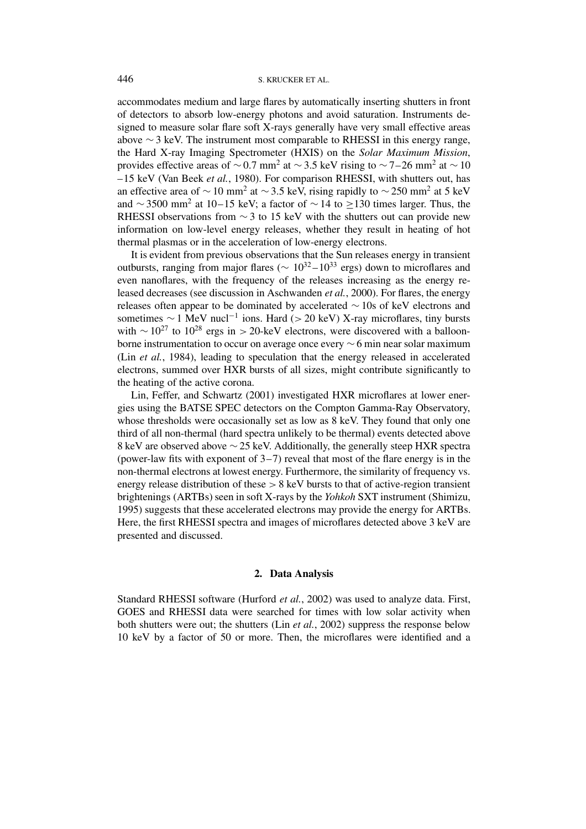accommodates medium and large flares by automatically inserting shutters in front of detectors to absorb low-energy photons and avoid saturation. Instruments designed to measure solar flare soft X-rays generally have very small effective areas above ∼ 3 keV. The instrument most comparable to RHESSI in this energy range, the Hard X-ray Imaging Spectrometer (HXIS) on the *Solar Maximum Mission*, provides effective areas of  $\sim$  0.7 mm<sup>2</sup> at  $\sim$  3.5 keV rising to  $\sim$  7–26 mm<sup>2</sup> at  $\sim$  10 –15 keV (Van Beek *et al.*, 1980). For comparison RHESSI, with shutters out, has an effective area of  $\sim$  10 mm<sup>2</sup> at  $\sim$  3.5 keV, rising rapidly to  $\sim$  250 mm<sup>2</sup> at 5 keV and  $\sim$  3500 mm<sup>2</sup> at 10–15 keV; a factor of  $\sim$  14 to >130 times larger. Thus, the RHESSI observations from  $\sim$  3 to 15 keV with the shutters out can provide new information on low-level energy releases, whether they result in heating of hot thermal plasmas or in the acceleration of low-energy electrons.

It is evident from previous observations that the Sun releases energy in transient outbursts, ranging from major flares ( $\sim 10^{32} - 10^{33}$  ergs) down to microflares and even nanoflares, with the frequency of the releases increasing as the energy released decreases (see discussion in Aschwanden *et al.*, 2000). For flares, the energy releases often appear to be dominated by accelerated ∼ 10s of keV electrons and sometimes ∼ 1 MeV nucl−<sup>1</sup> ions. Hard (*>* 20 keV) X-ray microflares, tiny bursts with ∼ 1027 to 1028 ergs in *>* 20-keV electrons, were discovered with a balloonborne instrumentation to occur on average once every  $\sim$  6 min near solar maximum (Lin *et al.*, 1984), leading to speculation that the energy released in accelerated electrons, summed over HXR bursts of all sizes, might contribute significantly to the heating of the active corona.

Lin, Feffer, and Schwartz (2001) investigated HXR microflares at lower energies using the BATSE SPEC detectors on the Compton Gamma-Ray Observatory, whose thresholds were occasionally set as low as 8 keV. They found that only one third of all non-thermal (hard spectra unlikely to be thermal) events detected above 8 keV are observed above ∼ 25 keV. Additionally, the generally steep HXR spectra (power-law fits with exponent of  $3-7$ ) reveal that most of the flare energy is in the non-thermal electrons at lowest energy. Furthermore, the similarity of frequency vs. energy release distribution of these *>* 8 keV bursts to that of active-region transient brightenings (ARTBs) seen in soft X-rays by the *Yohkoh* SXT instrument (Shimizu, 1995) suggests that these accelerated electrons may provide the energy for ARTBs. Here, the first RHESSI spectra and images of microflares detected above 3 keV are presented and discussed.

#### **2. Data Analysis**

Standard RHESSI software (Hurford *et al.*, 2002) was used to analyze data. First, GOES and RHESSI data were searched for times with low solar activity when both shutters were out; the shutters (Lin *et al.*, 2002) suppress the response below 10 keV by a factor of 50 or more. Then, the microflares were identified and a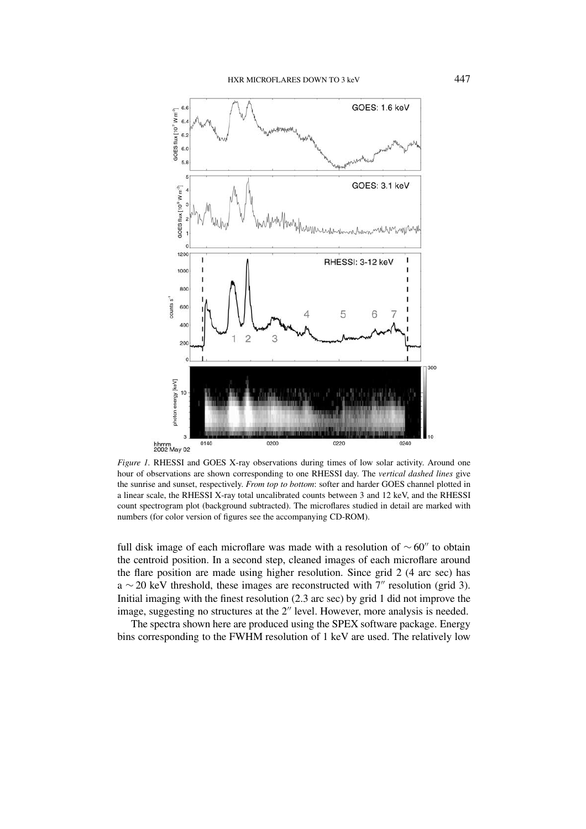

*Figure 1.* RHESSI and GOES X-ray observations during times of low solar activity. Around one hour of observations are shown corresponding to one RHESSI day. The *vertical dashed lines* give the sunrise and sunset, respectively. *From top to bottom*: softer and harder GOES channel plotted in a linear scale, the RHESSI X-ray total uncalibrated counts between 3 and 12 keV, and the RHESSI count spectrogram plot (background subtracted). The microflares studied in detail are marked with numbers (for color version of figures see the accompanying CD-ROM).

full disk image of each microflare was made with a resolution of  $\sim 60''$  to obtain the centroid position. In a second step, cleaned images of each microflare around the flare position are made using higher resolution. Since grid 2 (4 arc sec) has a  $\sim$  20 keV threshold, these images are reconstructed with 7" resolution (grid 3). Initial imaging with the finest resolution (2.3 arc sec) by grid 1 did not improve the image, suggesting no structures at the 2" level. However, more analysis is needed.

The spectra shown here are produced using the SPEX software package. Energy bins corresponding to the FWHM resolution of 1 keV are used. The relatively low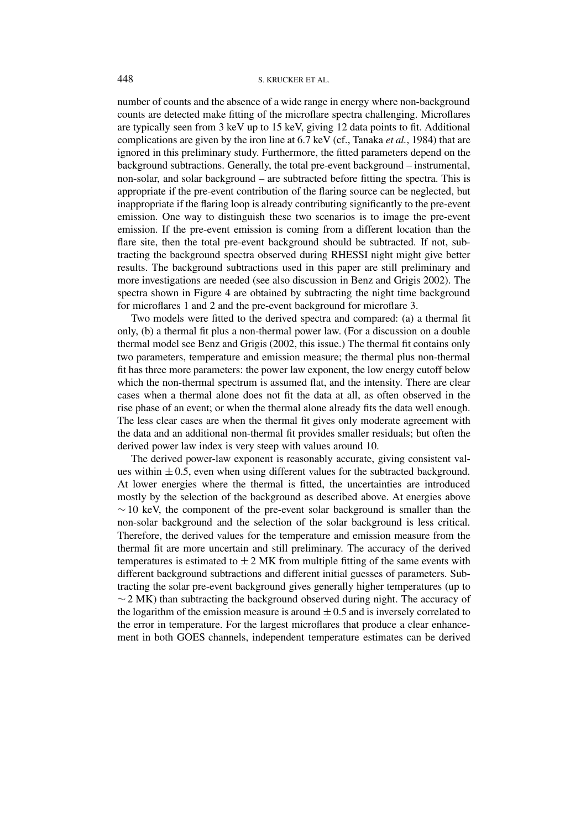number of counts and the absence of a wide range in energy where non-background counts are detected make fitting of the microflare spectra challenging. Microflares are typically seen from 3 keV up to 15 keV, giving 12 data points to fit. Additional complications are given by the iron line at 6.7 keV (cf., Tanaka *et al.*, 1984) that are ignored in this preliminary study. Furthermore, the fitted parameters depend on the background subtractions. Generally, the total pre-event background – instrumental, non-solar, and solar background – are subtracted before fitting the spectra. This is appropriate if the pre-event contribution of the flaring source can be neglected, but inappropriate if the flaring loop is already contributing significantly to the pre-event emission. One way to distinguish these two scenarios is to image the pre-event emission. If the pre-event emission is coming from a different location than the flare site, then the total pre-event background should be subtracted. If not, subtracting the background spectra observed during RHESSI night might give better results. The background subtractions used in this paper are still preliminary and more investigations are needed (see also discussion in Benz and Grigis 2002). The spectra shown in Figure 4 are obtained by subtracting the night time background for microflares 1 and 2 and the pre-event background for microflare 3.

Two models were fitted to the derived spectra and compared: (a) a thermal fit only, (b) a thermal fit plus a non-thermal power law. (For a discussion on a double thermal model see Benz and Grigis (2002, this issue.) The thermal fit contains only two parameters, temperature and emission measure; the thermal plus non-thermal fit has three more parameters: the power law exponent, the low energy cutoff below which the non-thermal spectrum is assumed flat, and the intensity. There are clear cases when a thermal alone does not fit the data at all, as often observed in the rise phase of an event; or when the thermal alone already fits the data well enough. The less clear cases are when the thermal fit gives only moderate agreement with the data and an additional non-thermal fit provides smaller residuals; but often the derived power law index is very steep with values around 10.

The derived power-law exponent is reasonably accurate, giving consistent values within  $\pm 0.5$ , even when using different values for the subtracted background. At lower energies where the thermal is fitted, the uncertainties are introduced mostly by the selection of the background as described above. At energies above  $\sim$  10 keV, the component of the pre-event solar background is smaller than the non-solar background and the selection of the solar background is less critical. Therefore, the derived values for the temperature and emission measure from the thermal fit are more uncertain and still preliminary. The accuracy of the derived temperatures is estimated to  $\pm 2$  MK from multiple fitting of the same events with different background subtractions and different initial guesses of parameters. Subtracting the solar pre-event background gives generally higher temperatures (up to  $\sim$  2 MK) than subtracting the background observed during night. The accuracy of the logarithm of the emission measure is around  $\pm 0.5$  and is inversely correlated to the error in temperature. For the largest microflares that produce a clear enhancement in both GOES channels, independent temperature estimates can be derived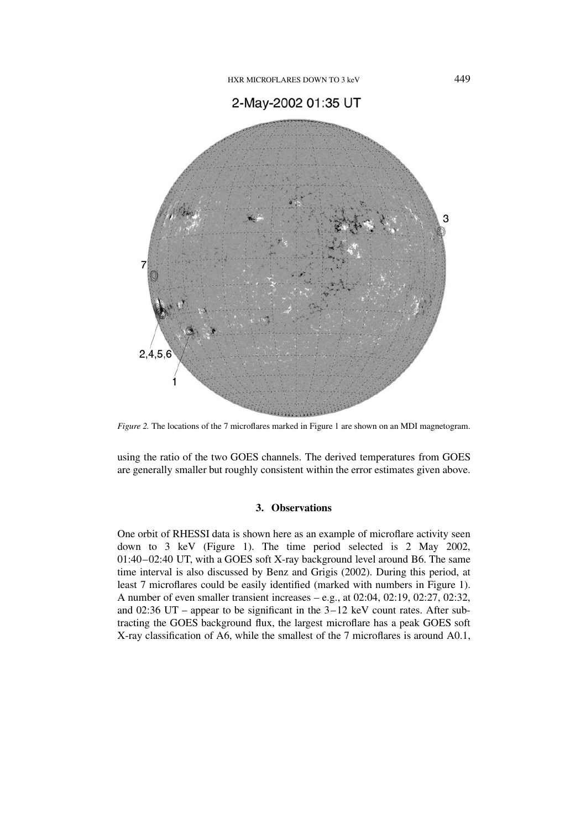

*Figure 2.* The locations of the 7 microflares marked in Figure 1 are shown on an MDI magnetogram.

using the ratio of the two GOES channels. The derived temperatures from GOES are generally smaller but roughly consistent within the error estimates given above.

### **3. Observations**

One orbit of RHESSI data is shown here as an example of microflare activity seen down to 3 keV (Figure 1). The time period selected is 2 May 2002, 01:40–02:40 UT, with a GOES soft X-ray background level around B6. The same time interval is also discussed by Benz and Grigis (2002). During this period, at least 7 microflares could be easily identified (marked with numbers in Figure 1). A number of even smaller transient increases – e.g., at 02:04, 02:19, 02:27, 02:32, and 02:36 UT – appear to be significant in the  $3-12$  keV count rates. After subtracting the GOES background flux, the largest microflare has a peak GOES soft X-ray classification of A6, while the smallest of the 7 microflares is around A0.1,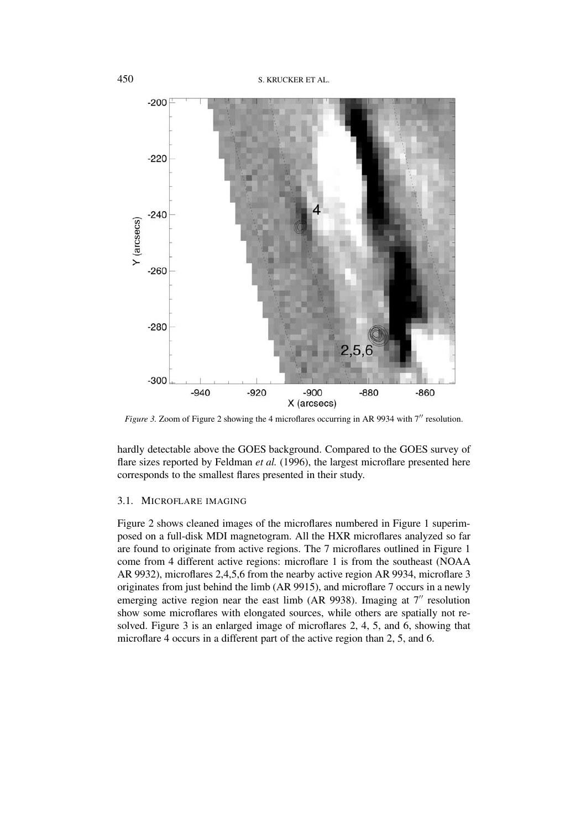

*Figure 3.* Zoom of Figure 2 showing the 4 microflares occurring in AR 9934 with 7'' resolution.

hardly detectable above the GOES background. Compared to the GOES survey of flare sizes reported by Feldman *et al.* (1996), the largest microflare presented here corresponds to the smallest flares presented in their study.

# 3.1. MICROFLARE IMAGING

Figure 2 shows cleaned images of the microflares numbered in Figure 1 superimposed on a full-disk MDI magnetogram. All the HXR microflares analyzed so far are found to originate from active regions. The 7 microflares outlined in Figure 1 come from 4 different active regions: microflare 1 is from the southeast (NOAA AR 9932), microflares 2,4,5,6 from the nearby active region AR 9934, microflare 3 originates from just behind the limb (AR 9915), and microflare 7 occurs in a newly emerging active region near the east limb (AR 9938). Imaging at  $7''$  resolution show some microflares with elongated sources, while others are spatially not resolved. Figure 3 is an enlarged image of microflares 2, 4, 5, and 6, showing that microflare 4 occurs in a different part of the active region than 2, 5, and 6.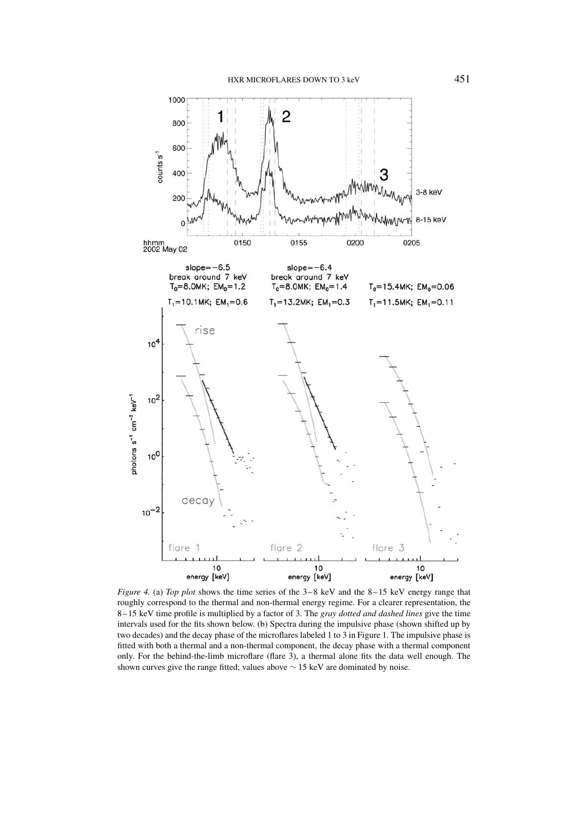

*Figure 4.* (a) *Top plot* shows the time series of the 3–8 keV and the 8–15 keV energy range that roughly correspond to the thermal and non-thermal energy regime. For a clearer representation, the 8–15 keV time profile is multiplied by a factor of 3. The *gray dotted and dashed lines* give the time intervals used for the fits shown below. (b) Spectra during the impulsive phase (shown shifted up by two decades) and the decay phase of the microflares labeled 1 to 3 in Figure 1. The impulsive phase is fitted with both a thermal and a non-thermal component, the decay phase with a thermal component only. For the behind-the-limb microflare (flare 3), a thermal alone fits the data well enough. The shown curves give the range fitted; values above  $\sim$  15 keV are dominated by noise.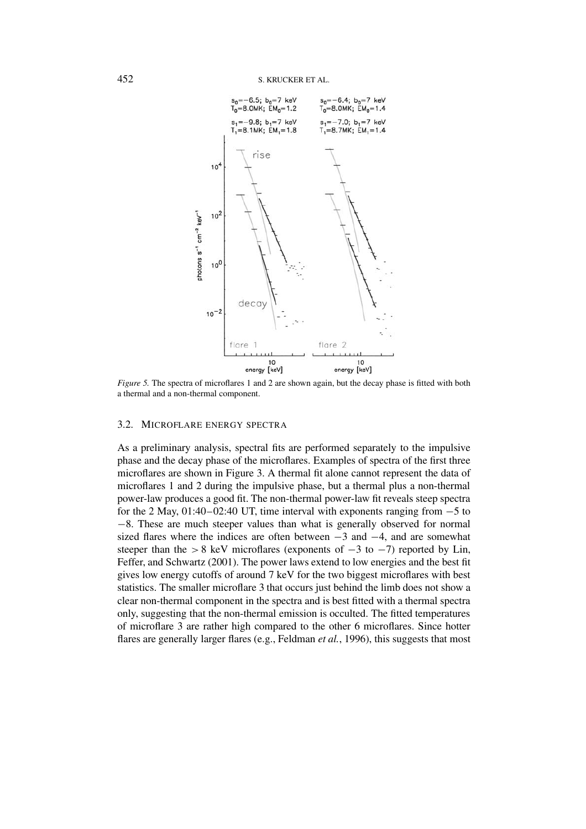

*Figure 5.* The spectra of microflares 1 and 2 are shown again, but the decay phase is fitted with both a thermal and a non-thermal component.

# 3.2. MICROFLARE ENERGY SPECTRA

As a preliminary analysis, spectral fits are performed separately to the impulsive phase and the decay phase of the microflares. Examples of spectra of the first three microflares are shown in Figure 3. A thermal fit alone cannot represent the data of microflares 1 and 2 during the impulsive phase, but a thermal plus a non-thermal power-law produces a good fit. The non-thermal power-law fit reveals steep spectra for the 2 May, 01:40–02:40 UT, time interval with exponents ranging from −5 to −8. These are much steeper values than what is generally observed for normal sized flares where the indices are often between  $-3$  and  $-4$ , and are somewhat steeper than the *>* 8 keV microflares (exponents of −3 to −7) reported by Lin, Feffer, and Schwartz (2001). The power laws extend to low energies and the best fit gives low energy cutoffs of around 7 keV for the two biggest microflares with best statistics. The smaller microflare 3 that occurs just behind the limb does not show a clear non-thermal component in the spectra and is best fitted with a thermal spectra only, suggesting that the non-thermal emission is occulted. The fitted temperatures of microflare 3 are rather high compared to the other 6 microflares. Since hotter flares are generally larger flares (e.g., Feldman *et al.*, 1996), this suggests that most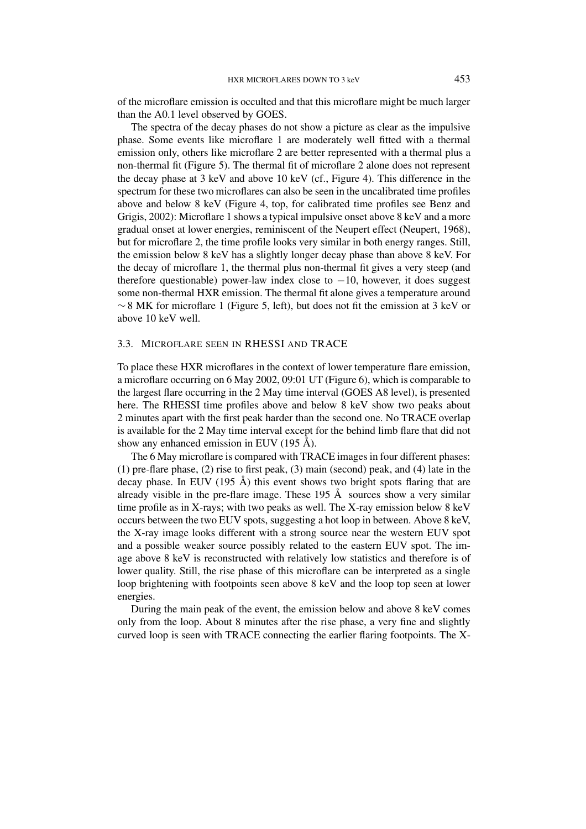of the microflare emission is occulted and that this microflare might be much larger than the A0.1 level observed by GOES.

The spectra of the decay phases do not show a picture as clear as the impulsive phase. Some events like microflare 1 are moderately well fitted with a thermal emission only, others like microflare 2 are better represented with a thermal plus a non-thermal fit (Figure 5). The thermal fit of microflare 2 alone does not represent the decay phase at 3 keV and above 10 keV (cf., Figure 4). This difference in the spectrum for these two microflares can also be seen in the uncalibrated time profiles above and below 8 keV (Figure 4, top, for calibrated time profiles see Benz and Grigis, 2002): Microflare 1 shows a typical impulsive onset above 8 keV and a more gradual onset at lower energies, reminiscent of the Neupert effect (Neupert, 1968), but for microflare 2, the time profile looks very similar in both energy ranges. Still, the emission below 8 keV has a slightly longer decay phase than above 8 keV. For the decay of microflare 1, the thermal plus non-thermal fit gives a very steep (and therefore questionable) power-law index close to  $-10$ , however, it does suggest some non-thermal HXR emission. The thermal fit alone gives a temperature around  $\sim$  8 MK for microflare 1 (Figure 5, left), but does not fit the emission at 3 keV or above 10 keV well.

## 3.3. MICROFLARE SEEN IN RHESSI AND TRACE

To place these HXR microflares in the context of lower temperature flare emission, a microflare occurring on 6 May 2002, 09:01 UT (Figure 6), which is comparable to the largest flare occurring in the 2 May time interval (GOES A8 level), is presented here. The RHESSI time profiles above and below 8 keV show two peaks about 2 minutes apart with the first peak harder than the second one. No TRACE overlap is available for the 2 May time interval except for the behind limb flare that did not show any enhanced emission in EUV (195 Å).

The 6 May microflare is compared with TRACE images in four different phases: (1) pre-flare phase, (2) rise to first peak, (3) main (second) peak, and (4) late in the decay phase. In EUV (195 Å) this event shows two bright spots flaring that are already visible in the pre-flare image. These 195  $\AA$  sources show a very similar time profile as in X-rays; with two peaks as well. The X-ray emission below 8 keV occurs between the two EUV spots, suggesting a hot loop in between. Above 8 keV, the X-ray image looks different with a strong source near the western EUV spot and a possible weaker source possibly related to the eastern EUV spot. The image above 8 keV is reconstructed with relatively low statistics and therefore is of lower quality. Still, the rise phase of this microflare can be interpreted as a single loop brightening with footpoints seen above 8 keV and the loop top seen at lower energies.

During the main peak of the event, the emission below and above 8 keV comes only from the loop. About 8 minutes after the rise phase, a very fine and slightly curved loop is seen with TRACE connecting the earlier flaring footpoints. The X-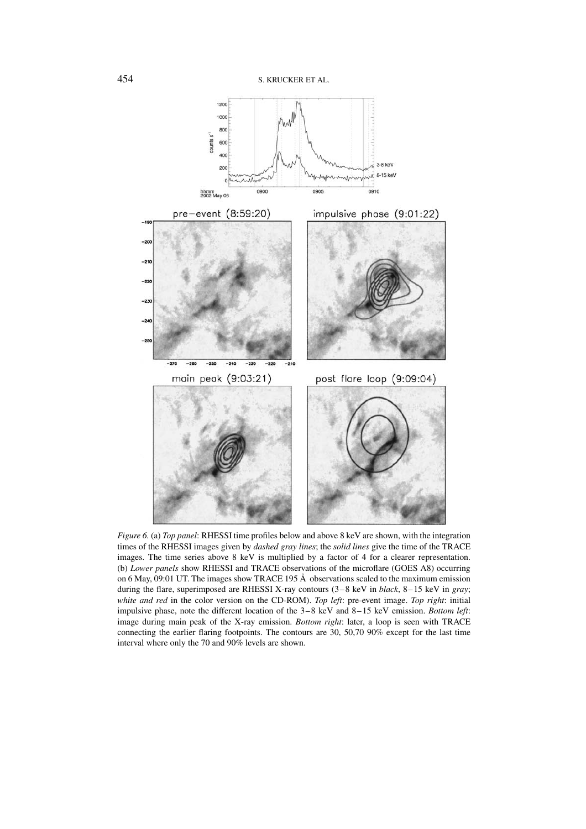

*Figure 6.* (a) *Top panel*: RHESSI time profiles below and above 8 keV are shown, with the integration times of the RHESSI images given by *dashed gray lines*; the *solid lines* give the time of the TRACE images. The time series above 8 keV is multiplied by a factor of 4 for a clearer representation. (b) *Lower panels* show RHESSI and TRACE observations of the microflare (GOES A8) occurring on 6 May, 09:01 UT. The images show TRACE 195 Å observations scaled to the maximum emission during the flare, superimposed are RHESSI X-ray contours (3–8 keV in *black*, 8–15 keV in *gray*; *white and red* in the color version on the CD-ROM). *Top left*: pre-event image. *Top right*: initial impulsive phase, note the different location of the 3–8 keV and 8–15 keV emission. *Bottom left*: image during main peak of the X-ray emission. *Bottom right*: later, a loop is seen with TRACE connecting the earlier flaring footpoints. The contours are 30, 50,70 90% except for the last time interval where only the 70 and 90% levels are shown.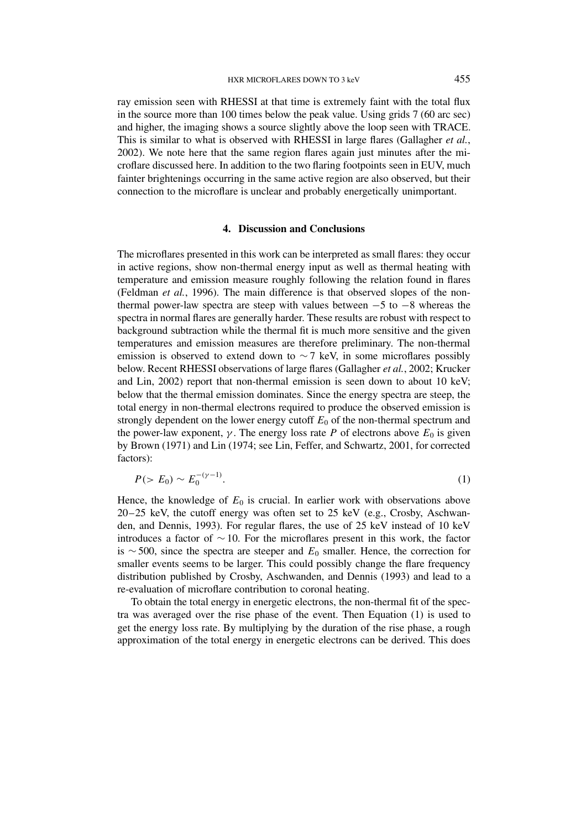ray emission seen with RHESSI at that time is extremely faint with the total flux in the source more than 100 times below the peak value. Using grids 7 (60 arc sec) and higher, the imaging shows a source slightly above the loop seen with TRACE. This is similar to what is observed with RHESSI in large flares (Gallagher *et al.*, 2002). We note here that the same region flares again just minutes after the microflare discussed here. In addition to the two flaring footpoints seen in EUV, much fainter brightenings occurring in the same active region are also observed, but their connection to the microflare is unclear and probably energetically unimportant.

#### **4. Discussion and Conclusions**

The microflares presented in this work can be interpreted as small flares: they occur in active regions, show non-thermal energy input as well as thermal heating with temperature and emission measure roughly following the relation found in flares (Feldman *et al.*, 1996). The main difference is that observed slopes of the nonthermal power-law spectra are steep with values between −5 to −8 whereas the spectra in normal flares are generally harder. These results are robust with respect to background subtraction while the thermal fit is much more sensitive and the given temperatures and emission measures are therefore preliminary. The non-thermal emission is observed to extend down to  $\sim$  7 keV, in some microflares possibly below. Recent RHESSI observations of large flares (Gallagher *et al.*, 2002; Krucker and Lin, 2002) report that non-thermal emission is seen down to about 10 keV; below that the thermal emission dominates. Since the energy spectra are steep, the total energy in non-thermal electrons required to produce the observed emission is strongly dependent on the lower energy cutoff  $E_0$  of the non-thermal spectrum and the power-law exponent,  $\gamma$ . The energy loss rate *P* of electrons above  $E_0$  is given by Brown (1971) and Lin (1974; see Lin, Feffer, and Schwartz, 2001, for corrected factors):

$$
P(>E_0) \sim E_0^{-(\gamma - 1)}.\tag{1}
$$

Hence, the knowledge of  $E_0$  is crucial. In earlier work with observations above 20–25 keV, the cutoff energy was often set to 25 keV (e.g., Crosby, Aschwanden, and Dennis, 1993). For regular flares, the use of 25 keV instead of 10 keV introduces a factor of  $\sim$  10. For the microflares present in this work, the factor is ∼ 500, since the spectra are steeper and *E*<sup>0</sup> smaller. Hence, the correction for smaller events seems to be larger. This could possibly change the flare frequency distribution published by Crosby, Aschwanden, and Dennis (1993) and lead to a re-evaluation of microflare contribution to coronal heating.

To obtain the total energy in energetic electrons, the non-thermal fit of the spectra was averaged over the rise phase of the event. Then Equation (1) is used to get the energy loss rate. By multiplying by the duration of the rise phase, a rough approximation of the total energy in energetic electrons can be derived. This does